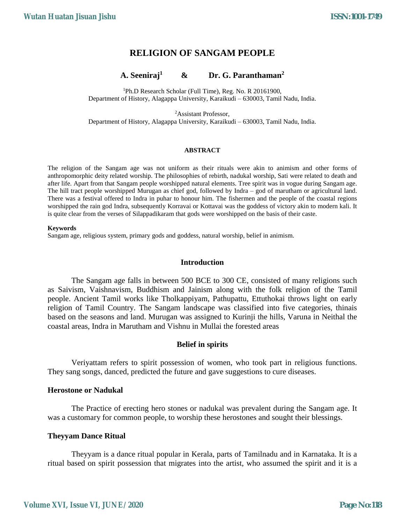# **RELIGION OF SANGAM PEOPLE**

#### **A. Seeniraj<sup>1</sup> & Dr. G. Paranthaman<sup>2</sup>**

<sup>1</sup>Ph.D Research Scholar (Full Time), Reg. No. R 20161900, Department of History, Alagappa University, Karaikudi – 630003, Tamil Nadu, India.

<sup>2</sup>Assistant Professor, Department of History, Alagappa University, Karaikudi – 630003, Tamil Nadu, India.

#### **ABSTRACT**

The religion of the Sangam age was not uniform as their rituals were akin to animism and other forms of anthropomorphic deity related worship. The philosophies of rebirth, nadukal worship, Sati were related to death and after life. Apart from that Sangam people worshipped natural elements. Tree spirit was in vogue during Sangam age. The hill tract people worshipped Murugan as chief god, followed by Indra – god of marutham or agricultural land. There was a festival offered to Indra in puhar to honour him. The fishermen and the people of the coastal regions worshipped the rain god Indra, subsequently Korravai or Kottavai was the goddess of victory akin to modern kali. It is quite clear from the verses of Silappadikaram that gods were worshipped on the basis of their caste.

#### **Keywords**

Sangam age, religious system, primary gods and goddess, natural worship, belief in animism.

#### **Introduction**

The Sangam age falls in between 500 BCE to 300 CE, consisted of many religions such as Saivism, Vaishnavism, Buddhism and Jainism along with the folk religion of the Tamil people. Ancient Tamil works like Tholkappiyam, Pathupattu, Ettuthokai throws light on early religion of Tamil Country. The Sangam landscape was classified into five categories, thinais based on the seasons and land. Murugan was assigned to Kurinji the hills, Varuna in Neithal the coastal areas, Indra in Marutham and Vishnu in Mullai the forested areas

#### **Belief in spirits**

Veriyattam refers to spirit possession of women, who took part in religious functions. They sang songs, danced, predicted the future and gave suggestions to cure diseases.

#### **Herostone or Nadukal**

The Practice of erecting hero stones or nadukal was prevalent during the Sangam age. It was a customary for common people, to worship these herostones and sought their blessings.

#### **Theyyam Dance Ritual**

Theyyam is a dance ritual popular in Kerala, parts of Tamilnadu and in Karnataka. It is a ritual based on spirit possession that migrates into the artist, who assumed the spirit and it is a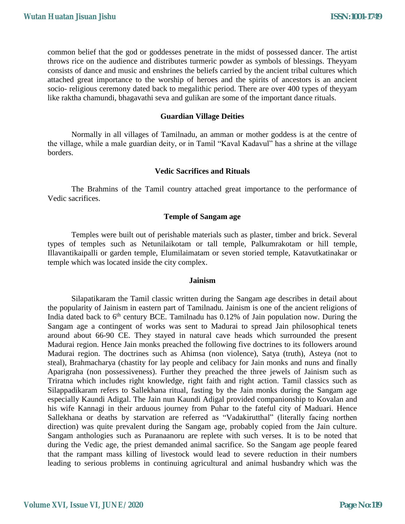common belief that the god or goddesses penetrate in the midst of possessed dancer. The artist throws rice on the audience and distributes turmeric powder as symbols of blessings. Theyyam consists of dance and music and enshrines the beliefs carried by the ancient tribal cultures which attached great importance to the worship of heroes and the spirits of ancestors is an ancient socio- religious ceremony dated back to megalithic period. There are over 400 types of theyyam like raktha chamundi, bhagavathi seva and gulikan are some of the important dance rituals.

## **Guardian Village Deities**

Normally in all villages of Tamilnadu, an amman or mother goddess is at the centre of the village, while a male guardian deity, or in Tamil "Kaval Kadavul" has a shrine at the village borders.

# **Vedic Sacrifices and Rituals**

The Brahmins of the Tamil country attached great importance to the performance of Vedic sacrifices.

#### **Temple of Sangam age**

Temples were built out of perishable materials such as plaster, timber and brick. Several types of temples such as Netunilaikotam or tall temple, Palkumrakotam or hill temple, Illavantikaipalli or garden temple, Elumilaimatam or seven storied temple, Katavutkatinakar or temple which was located inside the city complex.

#### **Jainism**

Silapatikaram the Tamil classic written during the Sangam age describes in detail about the popularity of Jainism in eastern part of Tamilnadu. Jainism is one of the ancient religions of India dated back to  $6<sup>th</sup>$  century BCE. Tamilnadu has 0.12% of Jain population now. During the Sangam age a contingent of works was sent to Madurai to spread Jain philosophical tenets around about 66-90 CE. They stayed in natural cave heads which surrounded the present Madurai region. Hence Jain monks preached the following five doctrines to its followers around Madurai region. The doctrines such as Ahimsa (non violence), Satya (truth), Asteya (not to steal), Brahmacharya (chastity for lay people and celibacy for Jain monks and nuns and finally Aparigraha (non possessiveness). Further they preached the three jewels of Jainism such as Triratna which includes right knowledge, right faith and right action. Tamil classics such as Silappadikaram refers to Sallekhana ritual, fasting by the Jain monks during the Sangam age especially Kaundi Adigal. The Jain nun Kaundi Adigal provided companionship to Kovalan and his wife Kannagi in their arduous journey from Puhar to the fateful city of Maduari. Hence Sallekhana or deaths by starvation are referred as "Vadakirutthal" (literally facing northen direction) was quite prevalent during the Sangam age, probably copied from the Jain culture. Sangam anthologies such as Puranaanoru are replete with such verses. It is to be noted that during the Vedic age, the priest demanded animal sacrifice. So the Sangam age people feared that the rampant mass killing of livestock would lead to severe reduction in their numbers leading to serious problems in continuing agricultural and animal husbandry which was the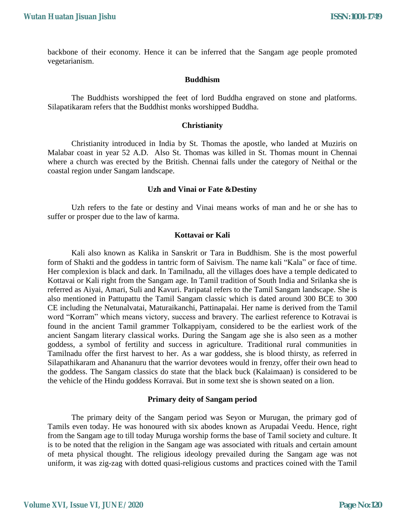backbone of their economy. Hence it can be inferred that the Sangam age people promoted vegetarianism.

## **Buddhism**

The Buddhists worshipped the feet of lord Buddha engraved on stone and platforms. Silapatikaram refers that the Buddhist monks worshipped Buddha.

#### **Christianity**

Christianity introduced in India by St. Thomas the apostle, who landed at Muziris on Malabar coast in year 52 A.D. Also St. Thomas was killed in St. Thomas mount in Chennai where a church was erected by the British. Chennai falls under the category of Neithal or the coastal region under Sangam landscape.

## **Uzh and Vinai or Fate &Destiny**

Uzh refers to the fate or destiny and Vinai means works of man and he or she has to suffer or prosper due to the law of karma.

## **Kottavai or Kali**

Kali also known as Kalika in Sanskrit or Tara in Buddhism. She is the most powerful form of Shakti and the goddess in tantric form of Saivism. The name kali "Kala" or face of time. Her complexion is black and dark. In Tamilnadu, all the villages does have a temple dedicated to Kottavai or Kali right from the Sangam age. In Tamil tradition of South India and Srilanka she is referred as Aiyai, Amari, Suli and Kavuri. Paripatal refers to the Tamil Sangam landscape. She is also mentioned in Pattupattu the Tamil Sangam classic which is dated around 300 BCE to 300 CE including the Netunalvatai, Maturaikanchi, Pattinapalai. Her name is derived from the Tamil word "Korram" which means victory, success and bravery. The earliest reference to Kotravai is found in the ancient Tamil grammer Tolkappiyam, considered to be the earliest work of the ancient Sangam literary classical works. During the Sangam age she is also seen as a mother goddess, a symbol of fertility and success in agriculture. Traditional rural communities in Tamilnadu offer the first harvest to her. As a war goddess, she is blood thirsty, as referred in Silapathikaram and Ahananuru that the warrior devotees would in frenzy, offer their own head to the goddess. The Sangam classics do state that the black buck (Kalaimaan) is considered to be the vehicle of the Hindu goddess Korravai. But in some text she is shown seated on a lion.

#### **Primary deity of Sangam period**

The primary deity of the Sangam period was Seyon or Murugan, the primary god of Tamils even today. He was honoured with six abodes known as Arupadai Veedu. Hence, right from the Sangam age to till today Muruga worship forms the base of Tamil society and culture. It is to be noted that the religion in the Sangam age was associated with rituals and certain amount of meta physical thought. The religious ideology prevailed during the Sangam age was not uniform, it was zig-zag with dotted quasi-religious customs and practices coined with the Tamil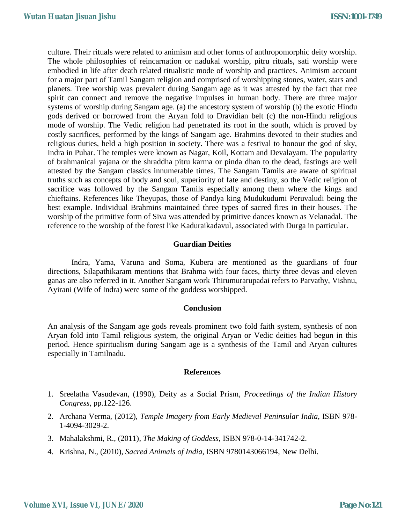culture. Their rituals were related to animism and other forms of anthropomorphic deity worship. The whole philosophies of reincarnation or nadukal worship, pitru rituals, sati worship were embodied in life after death related ritualistic mode of worship and practices. Animism account for a major part of Tamil Sangam religion and comprised of worshipping stones, water, stars and planets. Tree worship was prevalent during Sangam age as it was attested by the fact that tree spirit can connect and remove the negative impulses in human body. There are three major systems of worship during Sangam age. (a) the ancestory system of worship (b) the exotic Hindu gods derived or borrowed from the Aryan fold to Dravidian belt (c) the non-Hindu religious mode of worship. The Vedic religion had penetrated its root in the south, which is proved by costly sacrifices, performed by the kings of Sangam age. Brahmins devoted to their studies and religious duties, held a high position in society. There was a festival to honour the god of sky, Indra in Puhar. The temples were known as Nagar, Koil, Kottam and Devalayam. The popularity of brahmanical yajana or the shraddha pitru karma or pinda dhan to the dead, fastings are well attested by the Sangam classics innumerable times. The Sangam Tamils are aware of spiritual truths such as concepts of body and soul, superiority of fate and destiny, so the Vedic religion of sacrifice was followed by the Sangam Tamils especially among them where the kings and chieftains. References like Theyupas, those of Pandya king Mudukudumi Peruvaludi being the best example. Individual Brahmins maintained three types of sacred fires in their houses. The worship of the primitive form of Siva was attended by primitive dances known as Velanadal. The reference to the worship of the forest like Kaduraikadavul, associated with Durga in particular.

# **Guardian Deities**

Indra, Yama, Varuna and Soma, Kubera are mentioned as the guardians of four directions, Silapathikaram mentions that Brahma with four faces, thirty three devas and eleven ganas are also referred in it. Another Sangam work Thirumurarupadai refers to Parvathy, Vishnu, Ayirani (Wife of Indra) were some of the goddess worshipped.

#### **Conclusion**

An analysis of the Sangam age gods reveals prominent two fold faith system, synthesis of non Aryan fold into Tamil religious system, the original Aryan or Vedic deities had begun in this period. Hence spiritualism during Sangam age is a synthesis of the Tamil and Aryan cultures especially in Tamilnadu.

#### **References**

- 1. Sreelatha Vasudevan, (1990), Deity as a Social Prism, *Proceedings of the Indian History Congress*, pp.122-126.
- 2. Archana Verma, (2012), *Temple Imagery from Early Medieval Peninsular India*, ISBN 978- 1-4094-3029-2.
- 3. Mahalakshmi, R., (2011), *The Making of Goddess*, ISBN 978-0-14-341742-2.
- 4. Krishna, N., (2010), *Sacred Animals of India*, ISBN 9780143066194, New Delhi.